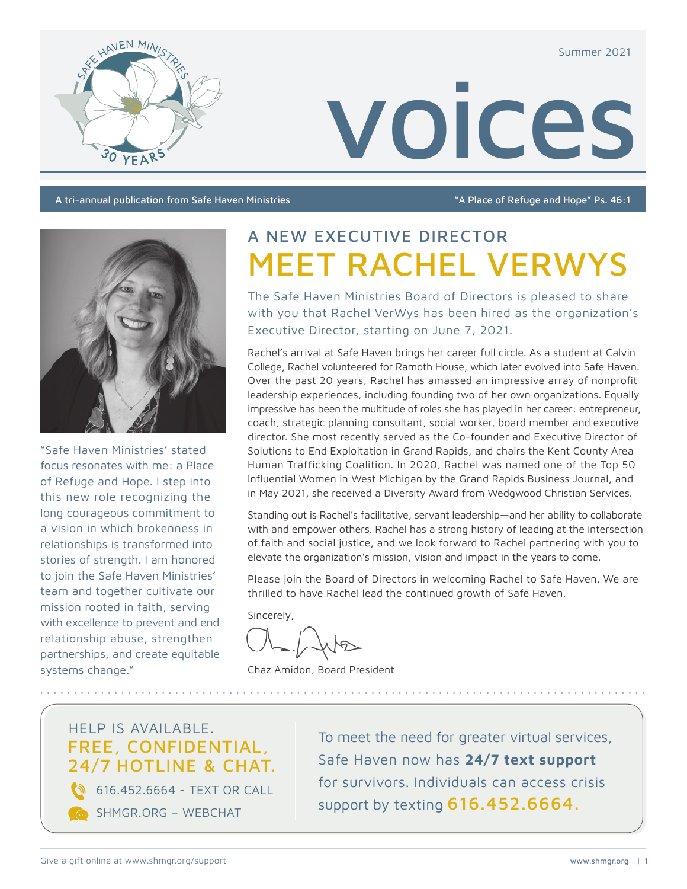Summer 2021



voices

A tri-annual publication from Safe Haven Ministries "A Place of Refuge and Hope" Ps. 46:1



"Safe Haven Ministries' stated focus resonates with me: a Place of Refuge and Hope. I step into this new role recognizing the long courageous commitment to a vision in which brokenness in relationships is transformed into stories of strength. I am honored to join the Safe Haven Ministries' team and together cultivate our mission rooted in faith, serving with excellence to prevent and end relationship abuse, strengthen partnerships, and create equitable systems change."

# A NEW EXECUTIVE DIRECTOR MEET RACHEL VERWYS

The Safe Haven Ministries Board of Directors is pleased to share with you that Rachel VerWys has been hired as the organization's Executive Director, starting on June 7, 2021.

Rachel's arrival at Safe Haven brings her career full circle. As a student at Calvin College, Rachel volunteered for Ramoth House, which later evolved into Safe Haven. Over the past 20 years, Rachel has amassed an impressive array of nonprofit leadership experiences, including founding two of her own organizations. Equally impressive has been the multitude of roles she has played in her career: entrepreneur, coach, strategic planning consultant, social worker, board member and executive director. She most recently served as the Co-founder and Executive Director of Solutions to End Exploitation in Grand Rapids, and chairs the Kent County Area Human Trafficking Coalition. In 2020, Rachel was named one of the Top 50 Influential Women in West Michigan by the Grand Rapids Business Journal, and in May 2021, she received a Diversity Award from Wedgwood Christian Services.

Standing out is Rachel's facilitative, servant leadership—and her ability to collaborate with and empower others. Rachel has a strong history of leading at the intersection of faith and social justice, and we look forward to Rachel partnering with you to elevate the organization's mission, vision and impact in the years to come.

Please join the Board of Directors in welcoming Rachel to Safe Haven. We are thrilled to have Rachel lead the continued growth of Safe Haven.

Sincerely,

Chaz Amidon, Board President

## HELP IS AVAILABLE. FREE, CONFIDENTIAL, 24/7 HOTLINE & CHAT.

**616.452.6664 - TEXT OR CALL** 

SHMGR.ORG – WEBCHAT

To meet the need for greater virtual services, Safe Haven now has **24/7 text support** for survivors. Individuals can access crisis support by texting 616.452.6664.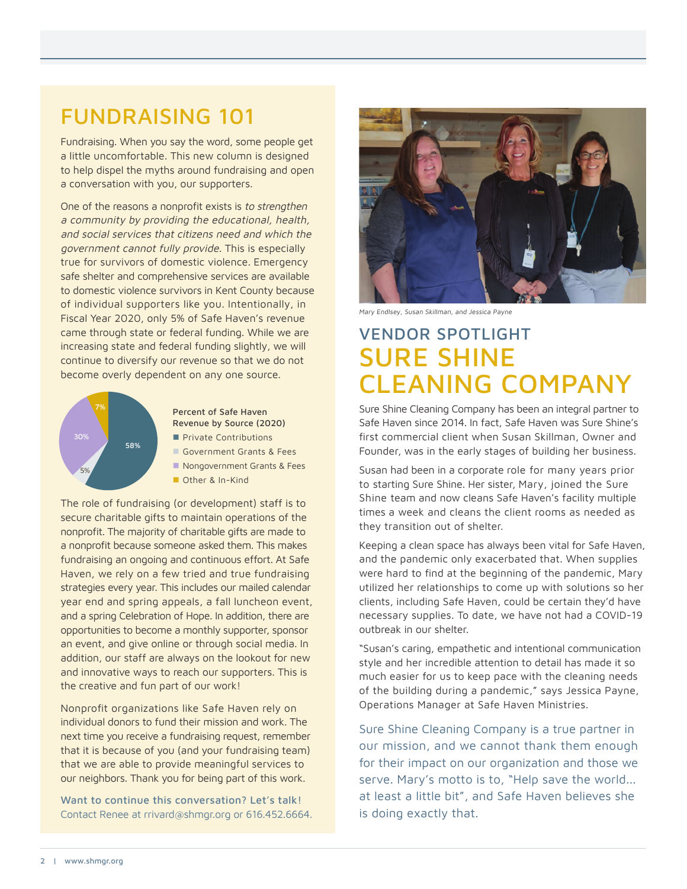## FUNDRAISING 101

Fundraising. When you say the word, some people get a little uncomfortable. This new column is designed to help dispel the myths around fundraising and open a conversation with you, our supporters.

One of the reasons a nonprofit exists is to strengthen a community by providing the educational, health, and social services that citizens need and which the government cannot fully provide. This is especially true for survivors of domestic violence. Emergency safe shelter and comprehensive services are available to domestic violence survivors in Kent County because of individual supporters like you. Intentionally, in Fiscal Year 2020, only 5% of Safe Haven's revenue came through state or federal funding. While we are increasing state and federal funding slightly, we will continue to diversify our revenue so that we do not become overly dependent on any one source.



Percent of Safe Haven Revenue by Source (2020) **Private Contributions** Government Grants & Fees Nongovernment Grants & Fees

Other & In-Kind

The role of fundraising (or development) staff is to secure charitable gifts to maintain operations of the nonprofit. The majority of charitable gifts are made to a nonprofit because someone asked them. This makes fundraising an ongoing and continuous effort. At Safe Haven, we rely on a few tried and true fundraising strategies every year. This includes our mailed calendar year end and spring appeals, a fall luncheon event, and a spring Celebration of Hope. In addition, there are opportunities to become a monthly supporter, sponsor an event, and give online or through social media. In addition, our staff are always on the lookout for new and innovative ways to reach our supporters. This is the creative and fun part of our work!

Nonprofit organizations like Safe Haven rely on individual donors to fund their mission and work. The next time you receive a fundraising request, remember that it is because of you (and your fundraising team) that we are able to provide meaningful services to our neighbors. Thank you for being part of this work.

Want to continue this conversation? Let's talk! Contact Renee at rrivard@shmgr.org or 616.452.6664.



Mary Endlsey, Susan Skillman, and Jessica Payne

## VENDOR SPOTLIGHT SURE SHINE CLEANING COMPANY

Sure Shine Cleaning Company has been an integral partner to Safe Haven since 2014. In fact, Safe Haven was Sure Shine's first commercial client when Susan Skillman, Owner and Founder, was in the early stages of building her business.

Susan had been in a corporate role for many years prior to starting Sure Shine. Her sister, Mary, joined the Sure Shine team and now cleans Safe Haven's facility multiple times a week and cleans the client rooms as needed as they transition out of shelter.

Keeping a clean space has always been vital for Safe Haven, and the pandemic only exacerbated that. When supplies were hard to find at the beginning of the pandemic, Mary utilized her relationships to come up with solutions so her clients, including Safe Haven, could be certain they'd have necessary supplies. To date, we have not had a COVID-19 outbreak in our shelter.

"Susan's caring, empathetic and intentional communication style and her incredible attention to detail has made it so much easier for us to keep pace with the cleaning needs of the building during a pandemic," says Jessica Payne, Operations Manager at Safe Haven Ministries.

Sure Shine Cleaning Company is a true partner in our mission, and we cannot thank them enough for their impact on our organization and those we serve. Mary's motto is to, "Help save the world... at least a little bit", and Safe Haven believes she is doing exactly that.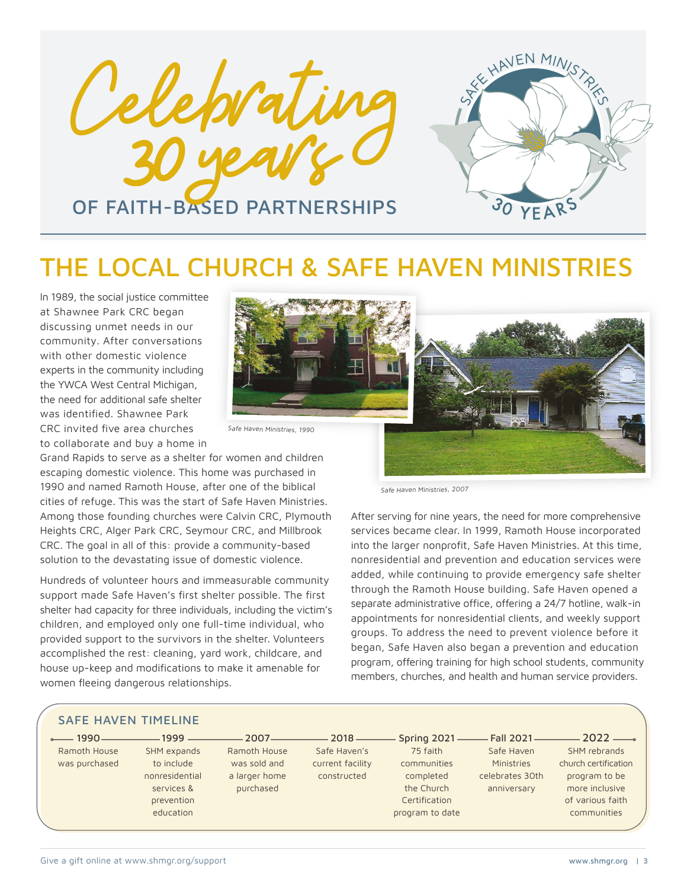



## THE LOCAL CHURCH & SAFE HAVEN MINISTRIES

In 1989, the social justice committee at Shawnee Park CRC began discussing unmet needs in our community. After conversations with other domestic violence experts in the community including the YWCA West Central Michigan, the need for additional safe shelter was identified. Shawnee Park CRC invited five area churches to collaborate and buy a home in



Safe Haven Ministries, 1990

Grand Rapids to serve as a shelter for women and children escaping domestic violence. This home was purchased in 1990 and named Ramoth House, after one of the biblical cities of refuge. This was the start of Safe Haven Ministries. Among those founding churches were Calvin CRC, Plymouth Heights CRC, Alger Park CRC, Seymour CRC, and Millbrook CRC. The goal in all of this: provide a community-based solution to the devastating issue of domestic violence.

Hundreds of volunteer hours and immeasurable community support made Safe Haven's first shelter possible. The first shelter had capacity for three individuals, including the victim's children, and employed only one full-time individual, who provided support to the survivors in the shelter. Volunteers accomplished the rest: cleaning, yard work, childcare, and house up-keep and modifications to make it amenable for women fleeing dangerous relationships.



Safe Haven Ministries, 2007

After serving for nine years, the need for more comprehensive services became clear. In 1999, Ramoth House incorporated into the larger nonprofit, Safe Haven Ministries. At this time, nonresidential and prevention and education services were added, while continuing to provide emergency safe shelter through the Ramoth House building. Safe Haven opened a separate administrative office, offering a 24/7 hotline, walk-in appointments for nonresidential clients, and weekly support groups. To address the need to prevent violence before it began, Safe Haven also began a prevention and education program, offering training for high school students, community members, churches, and health and human service providers.

#### SAFE HAVEN TIMELINE

 $-1990-$ Ramoth House was purchased

to include nonresidential services & prevention education

 $-1999$ . SHM expands

2007 Ramoth House was sold and a larger home purchased

 $2018 -$ Safe Haven's current facility constructed

Spring 2021 75 faith communities completed the Church Certification program to date

Fall 2021 Safe Haven **Ministries** celebrates 30th anniversary

 $2022 -$ SHM rebrands church certification program to be more inclusive of various faith communities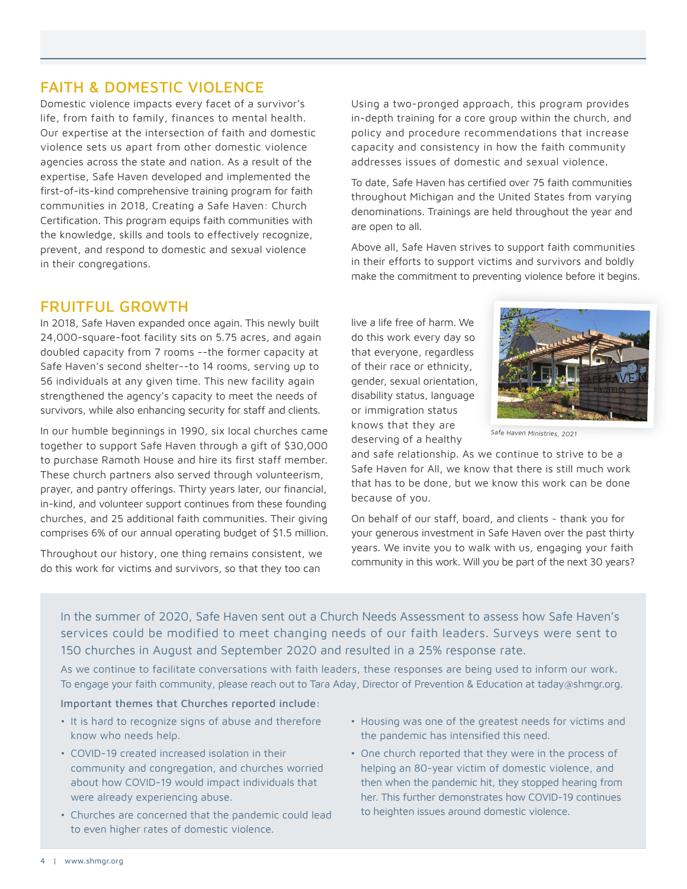### FAITH & DOMESTIC VIOLENCE

Domestic violence impacts every facet of a survivor's life, from faith to family, finances to mental health. Our expertise at the intersection of faith and domestic violence sets us apart from other domestic violence agencies across the state and nation. As a result of the expertise, Safe Haven developed and implemented the first-of-its-kind comprehensive training program for faith communities in 2018, Creating a Safe Haven: Church Certification. This program equips faith communities with the knowledge, skills and tools to effectively recognize, prevent, and respond to domestic and sexual violence in their congregations.

### FRUITFUL GROWTH

In 2018, Safe Haven expanded once again. This newly built 24,000-square-foot facility sits on 5.75 acres, and again doubled capacity from 7 rooms --the former capacity at Safe Haven's second shelter--to 14 rooms, serving up to 56 individuals at any given time. This new facility again strengthened the agency's capacity to meet the needs of survivors, while also enhancing security for staff and clients.

In our humble beginnings in 1990, six local churches came together to support Safe Haven through a gift of \$30,000 to purchase Ramoth House and hire its first staff member. These church partners also served through volunteerism, prayer, and pantry offerings. Thirty years later, our financial, in-kind, and volunteer support continues from these founding churches, and 25 additional faith communities. Their giving comprises 6% of our annual operating budget of \$1.5 million.

Throughout our history, one thing remains consistent, we do this work for victims and survivors, so that they too can

Using a two-pronged approach, this program provides in-depth training for a core group within the church, and policy and procedure recommendations that increase capacity and consistency in how the faith community addresses issues of domestic and sexual violence.

To date, Safe Haven has certified over 75 faith communities throughout Michigan and the United States from varying denominations. Trainings are held throughout the year and are open to all.

Above all, Safe Haven strives to support faith communities in their efforts to support victims and survivors and boldly make the commitment to preventing violence before it begins.

live a life free of harm. We do this work every day so that everyone, regardless of their race or ethnicity, gender, sexual orientation, disability status, language or immigration status knows that they are deserving of a healthy



Safe Haven Ministries, 2021

and safe relationship. As we continue to strive to be a Safe Haven for All, we know that there is still much work that has to be done, but we know this work can be done because of you.

On behalf of our staff, board, and clients ~ thank you for your generous investment in Safe Haven over the past thirty years. We invite you to walk with us, engaging your faith community in this work. Will you be part of the next 30 years?

In the summer of 2020, Safe Haven sent out a Church Needs Assessment to assess how Safe Haven's services could be modified to meet changing needs of our faith leaders. Surveys were sent to 150 churches in August and September 2020 and resulted in a 25% response rate.

As we continue to facilitate conversations with faith leaders, these responses are being used to inform our work. To engage your faith community, please reach out to Tara Aday, Director of Prevention & Education at taday@shmgr.org.

#### Important themes that Churches reported include:

- It is hard to recognize signs of abuse and therefore know who needs help.
- COVID-19 created increased isolation in their community and congregation, and churches worried about how COVID-19 would impact individuals that were already experiencing abuse.
- Churches are concerned that the pandemic could lead to even higher rates of domestic violence.
- Housing was one of the greatest needs for victims and the pandemic has intensified this need.
- One church reported that they were in the process of helping an 80-year victim of domestic violence, and then when the pandemic hit, they stopped hearing from her. This further demonstrates how COVID-19 continues to heighten issues around domestic violence.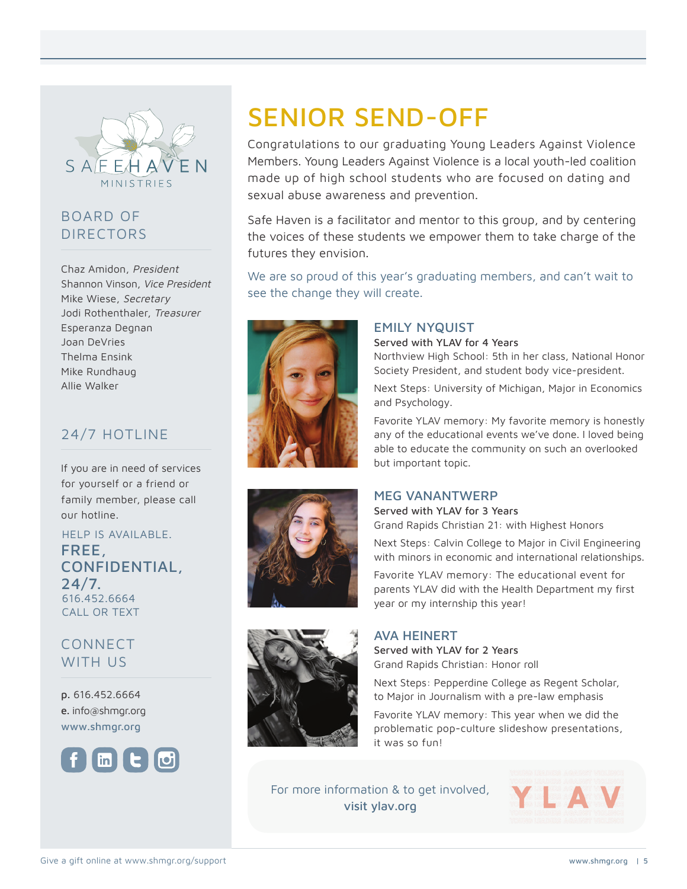

## BOARD OF DIRECTORS

Chaz Amidon, President Shannon Vinson, Vice President Mike Wiese, Secretary Jodi Rothenthaler, Treasurer Esperanza Degnan Joan DeVries Thelma Ensink Mike Rundhaug Allie Walker

### 24/7 HOTLINE

If you are in need of services for yourself or a friend or family member, please call our hotline.

HELP IS AVAILABLE. FREE, CONFIDENTIAL, 24/7. 616.452.6664 CALL OR TEXT

CONNECT WITH US

p. 616.452.6664 e. info@shmgr.org www.shmgr.org



# SENIOR SEND-OFF

Congratulations to our graduating Young Leaders Against Violence Members. Young Leaders Against Violence is a local youth-led coalition made up of high school students who are focused on dating and sexual abuse awareness and prevention.

Safe Haven is a facilitator and mentor to this group, and by centering the voices of these students we empower them to take charge of the futures they envision.

We are so proud of this year's graduating members, and can't wait to see the change they will create.



#### EMILY NYQUIST

Served with YLAV for 4 Years

Northview High School: 5th in her class, National Honor Society President, and student body vice-president.

Next Steps: University of Michigan, Major in Economics and Psychology.

Favorite YLAV memory: My favorite memory is honestly any of the educational events we've done. I loved being able to educate the community on such an overlooked but important topic.



#### MEG VANANTWERP

Served with YLAV for 3 Years Grand Rapids Christian 21: with Highest Honors

Next Steps: Calvin College to Major in Civil Engineering with minors in economic and international relationships.

Favorite YLAV memory: The educational event for parents YLAV did with the Health Department my first year or my internship this year!



#### AVA HEINERT

Served with YLAV for 2 Years Grand Rapids Christian: Honor roll

Next Steps: Pepperdine College as Regent Scholar, to Major in Journalism with a pre-law emphasis

Favorite YLAV memory: This year when we did the problematic pop-culture slideshow presentations, it was so fun!

For more information & to get involved, visit ylav.org